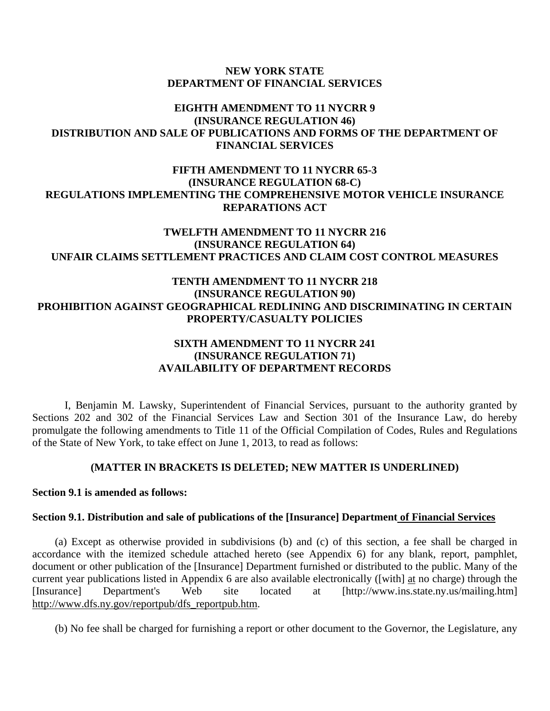#### **NEW YORK STATE DEPARTMENT OF FINANCIAL SERVICES**

## **EIGHTH AMENDMENT TO 11 NYCRR 9 (INSURANCE REGULATION 46) DISTRIBUTION AND SALE OF PUBLICATIONS AND FORMS OF THE DEPARTMENT OF FINANCIAL SERVICES**

## **FIFTH AMENDMENT TO 11 NYCRR 65-3 (INSURANCE REGULATION 68-C) REGULATIONS IMPLEMENTING THE COMPREHENSIVE MOTOR VEHICLE INSURANCE REPARATIONS ACT**

# **TWELFTH AMENDMENT TO 11 NYCRR 216 (INSURANCE REGULATION 64) UNFAIR CLAIMS SETTLEMENT PRACTICES AND CLAIM COST CONTROL MEASURES**

## **TENTH AMENDMENT TO 11 NYCRR 218 (INSURANCE REGULATION 90) PROHIBITION AGAINST GEOGRAPHICAL REDLINING AND DISCRIMINATING IN CERTAIN PROPERTY/CASUALTY POLICIES**

## **SIXTH AMENDMENT TO 11 NYCRR 241 (INSURANCE REGULATION 71) AVAILABILITY OF DEPARTMENT RECORDS**

I, Benjamin M. Lawsky, Superintendent of Financial Services, pursuant to the authority granted by Sections 202 and 302 of the Financial Services Law and Section 301 of the Insurance Law, do hereby promulgate the following amendments to Title 11 of the Official Compilation of Codes, Rules and Regulations of the State of New York, to take effect on June 1, 2013, to read as follows:

## **(MATTER IN BRACKETS IS DELETED; NEW MATTER IS UNDERLINED)**

## **Section 9.1 is amended as follows:**

## **Section 9.1. Distribution and sale of publications of the [Insurance] Department of Financial Services**

(a) Except as otherwise provided in subdivisions (b) and (c) of this section, a fee shall be charged in accordance with the itemized schedule attached hereto (see Appendix 6) for any blank, report, pamphlet, document or other publication of the [Insurance] Department furnished or distributed to the public. Many of the current year publications listed in Appendix 6 are also available electronically ([with] at no charge) through the [Insurance] Department's Web site located at [http://www.ins.state.ny.us/mailing.htm] http://www.dfs.ny.gov/reportpub/dfs\_reportpub.htm.

(b) No fee shall be charged for furnishing a report or other document to the Governor, the Legislature, any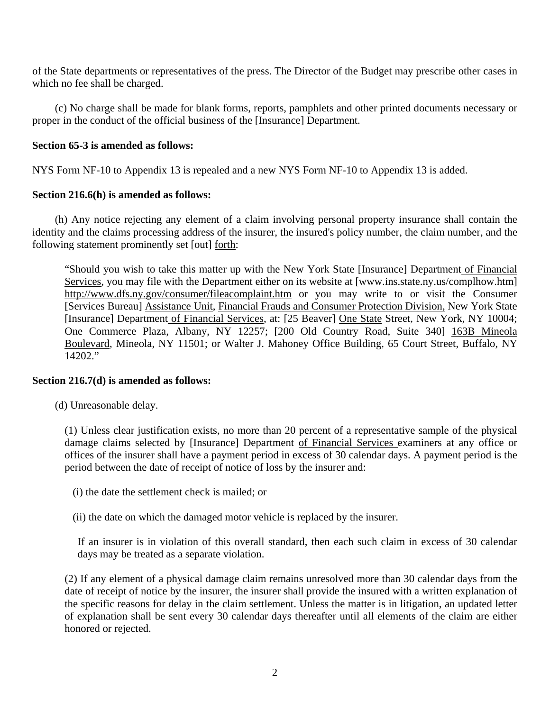of the State departments or representatives of the press. The Director of the Budget may prescribe other cases in which no fee shall be charged.

(c) No charge shall be made for blank forms, reports, pamphlets and other printed documents necessary or proper in the conduct of the official business of the [Insurance] Department.

## **Section 65-3 is amended as follows:**

NYS Form NF-10 to Appendix 13 is repealed and a new NYS Form NF-10 to Appendix 13 is added.

## **Section 216.6(h) is amended as follows:**

(h) Any notice rejecting any element of a claim involving personal property insurance shall contain the identity and the claims processing address of the insurer, the insured's policy number, the claim number, and the following statement prominently set [out] forth:

"Should you wish to take this matter up with the New York State [Insurance] Department of Financial Services, you may file with the Department either on its website at [www.ins.state.ny.us/complhow.htm] http://www.dfs.ny.gov/consumer/fileacomplaint.htm or you may write to or visit the Consumer [Services Bureau] Assistance Unit, Financial Frauds and Consumer Protection Division, New York State [Insurance] Department of Financial Services, at: [25 Beaver] One State Street, New York, NY 10004; One Commerce Plaza, Albany, NY 12257; [200 Old Country Road, Suite 340] 163B Mineola Boulevard, Mineola, NY 11501; or Walter J. Mahoney Office Building, 65 Court Street, Buffalo, NY 14202."

## **Section 216.7(d) is amended as follows:**

(d) Unreasonable delay.

(1) Unless clear justification exists, no more than 20 percent of a representative sample of the physical damage claims selected by [Insurance] Department of Financial Services examiners at any office or offices of the insurer shall have a payment period in excess of 30 calendar days. A payment period is the period between the date of receipt of notice of loss by the insurer and:

(i) the date the settlement check is mailed; or

(ii) the date on which the damaged motor vehicle is replaced by the insurer.

If an insurer is in violation of this overall standard, then each such claim in excess of 30 calendar days may be treated as a separate violation.

(2) If any element of a physical damage claim remains unresolved more than 30 calendar days from the date of receipt of notice by the insurer, the insurer shall provide the insured with a written explanation of the specific reasons for delay in the claim settlement. Unless the matter is in litigation, an updated letter of explanation shall be sent every 30 calendar days thereafter until all elements of the claim are either honored or rejected.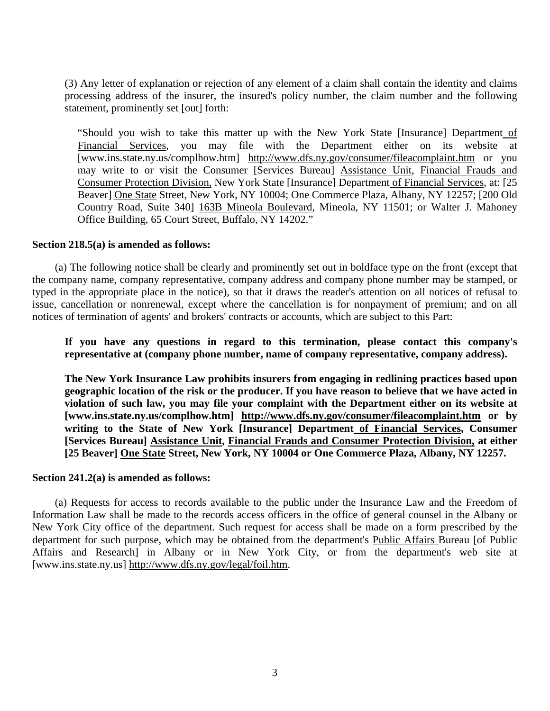(3) Any letter of explanation or rejection of any element of a claim shall contain the identity and claims processing address of the insurer, the insured's policy number, the claim number and the following statement, prominently set [out] forth:

"Should you wish to take this matter up with the New York State [Insurance] Department of Financial Services, you may file with the Department either on its website at [www.ins.state.ny.us/complhow.htm] http://www.dfs.ny.gov/consumer/fileacomplaint.htm or you may write to or visit the Consumer [Services Bureau] Assistance Unit, Financial Frauds and Consumer Protection Division, New York State [Insurance] Department of Financial Services, at: [25 Beaver] One State Street, New York, NY 10004; One Commerce Plaza, Albany, NY 12257; [200 Old Country Road, Suite 340] 163B Mineola Boulevard, Mineola, NY 11501; or Walter J. Mahoney Office Building, 65 Court Street, Buffalo, NY 14202."

#### **Section 218.5(a) is amended as follows:**

(a) The following notice shall be clearly and prominently set out in boldface type on the front (except that the company name, company representative, company address and company phone number may be stamped, or typed in the appropriate place in the notice), so that it draws the reader's attention on all notices of refusal to issue, cancellation or nonrenewal, except where the cancellation is for nonpayment of premium; and on all notices of termination of agents' and brokers' contracts or accounts, which are subject to this Part:

**If you have any questions in regard to this termination, please contact this company's representative at (company phone number, name of company representative, company address).** 

**The New York Insurance Law prohibits insurers from engaging in redlining practices based upon geographic location of the risk or the producer. If you have reason to believe that we have acted in violation of such law, you may file your complaint with the Department either on its website at [www.ins.state.ny.us/complhow.htm] http://www.dfs.ny.gov/consumer/fileacomplaint.htm or by**  writing to the State of New York [Insurance] Department of Financial Services, Consumer **[Services Bureau] Assistance Unit, Financial Frauds and Consumer Protection Division, at either [25 Beaver] One State Street, New York, NY 10004 or One Commerce Plaza, Albany, NY 12257.** 

#### **Section 241.2(a) is amended as follows:**

(a) Requests for access to records available to the public under the Insurance Law and the Freedom of Information Law shall be made to the records access officers in the office of general counsel in the Albany or New York City office of the department. Such request for access shall be made on a form prescribed by the department for such purpose, which may be obtained from the department's Public Affairs Bureau [of Public Affairs and Research] in Albany or in New York City, or from the department's web site at [www.ins.state.ny.us] http://www.dfs.ny.gov/legal/foil.htm.